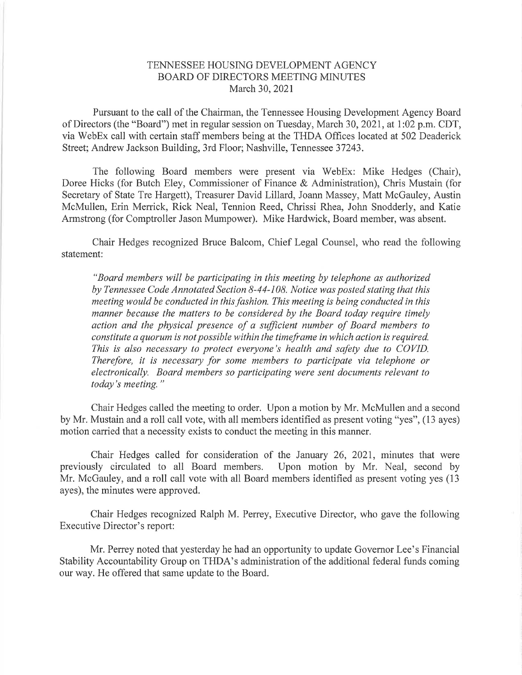## TENNESSEE HOUSING DEVELOPMENT AGENCY BOARD OF DIRECTORS MEETING MINUTES March 30,2021

Pursuant to the call of the Chairman, the Tennessee Housing Development Agency Board of Directors (the "Board") met in regular session on Tuesday, March 30,2021, at I:02 p.m. CDT, via WebEx call with certain staff members being at the THDA Offices located at 502 Deaderick Street; Andrew Jackson Building, 3rd Floor; Nashville, Tennessee 37243.

The following Board members were present via WebEx: Mike Hedges (Chair), Doree Hicks (for Butch Eley, Commissioner of Finance & Administration), Chris Mustain (for Secretary of State Tre Hargett), Treasurer David Lillard, Joann Massey, Matt McGauley, Austin McMullen, Erin Merrick, Rick Neal, Tennion Reed, Chrissi Rhea, John Snodderly, and Katie Armstrong (for Comptroller Jason Mumpower). Mike Hardwick, Board member, was absent.

Chair Hedges recognized Bruce Balcom, Chief Legal Counsel, who read the following statement:

"Board members will be participating in this meeting by telephone as authorized by Tennessee Code Annotated Section 8-44-108. Notice was posted stating that this meeting would be conducted in this fashion. This meeting is being conducted in this manner because the matters to be considered by the Board today require timely action and the physical presence of a sufficient number of Board members to constitute a quorum is not possible within the timeframe inwhich action is required. This is also necessary to protect everyone's health and safety due to COVID. Therefore, it is necessary for some members to participate via telephone or electronically. Board members so participating were sent documents relevant to today's meeting."

Chair Hedges called the meeting to order. Upon a motion by Mr. McMullen and a second by Mr. Mustain and a roll call vote, with all members identified as present voting "yes", (13 ayes) motion carried that a necessity exists to conduct the meeting in this manner.

Chair Hedges called for consideration of the January 26, 2021, minutes that were sly circulated to all Board members. Upon motion by Mr. Neal, second by previously circulated to all Board members. Mr. McGauley, and a roll call vote with all Board members identified as present voting yes (13 ayes), the minutes were approved.

Chair Hedges recognized Ralph M. Perrey, Executive Director, who gave the following Executive Director's report:

Mr. Perrey noted that yesterday he had an opportunity to update Governor Lee's Financial Stability Accountability Group on THDA's administration of the additional federal funds coming our way. He offered that same update to the Board.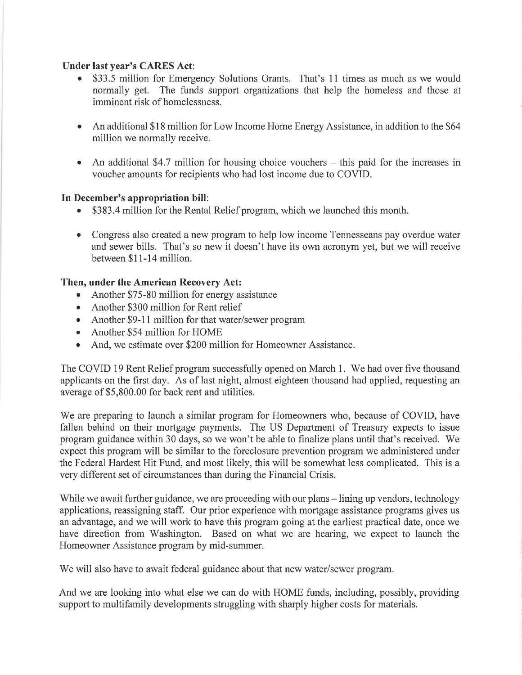## Under last year's CARES Act:

- \$33.5 million for Emergency Solutions Grants. That's 11 times as much as we would normally get. The funds support organizations that help the homeless and those at imminent risk of homelessness.
- An additional \$18 million for Low Income Home Energy Assistance, in addition to the \$64 million we normally receive.
- An additional \$4.7 million for housing choice vouchers  $-$  this paid for the increases in voucher amounts for recipients who had lost income due to COVID.

## In December's appropriation bill:

- . \$383.4 million for the Rental Relief program, which we launched this month.
- Congress also created a new program to help low income Tennesseans pay overdue water and sewer bills. That's so new it doesn't have its own acronym yet, but we will receive between \$l I-14 million.

## Then, under the American Recovery Act:

- Another \$75-80 million for energy assistance
- Another \$300 million for Rent relief
- Another \$9-11 million for that water/sewer program
- Another \$54 million for HOME
- And, we estimate over \$200 million for Homeowner Assistance.

The COVID 19 Rent Relief program successfully opened on March 1. We had over five thousand applicants on the first day. As of last night, almost eighteen thousand had applied, requesting an average of \$5,800.00 for back rent and utilities.

We are preparing to launch a similar program for Homeowners who, because of COVID, have fallen behind on their mortgage payments. The US Department of Treasury expects to issue program guidance within 30 days, so we won't be able to finalize plans until that's received. We expect this program will be similar to the foreclosure prevention program we administered under the Federal Hardest Hit Fund, and most likely, this will be somewhat less complicated. This is a very different set of circumstances than during the Financial Crisis.

While we await further guidance, we are proceeding with our plans – lining up vendors, technology applications, reassigning staff. Our prior experience with mortgage assistance programs gives us an advantage, and we will work to have this program going at the earliest practical date, once we have direction from Washington. Based on what we are hearing, we expect to launch the Homeowner Assistance program by mid-summer.

We will also have to await federal guidance about that new water/sewer program.

And we are looking into what else we can do with HOME funds, including, possibly, providing support to multifamily developments struggling with sharply higher costs for materials.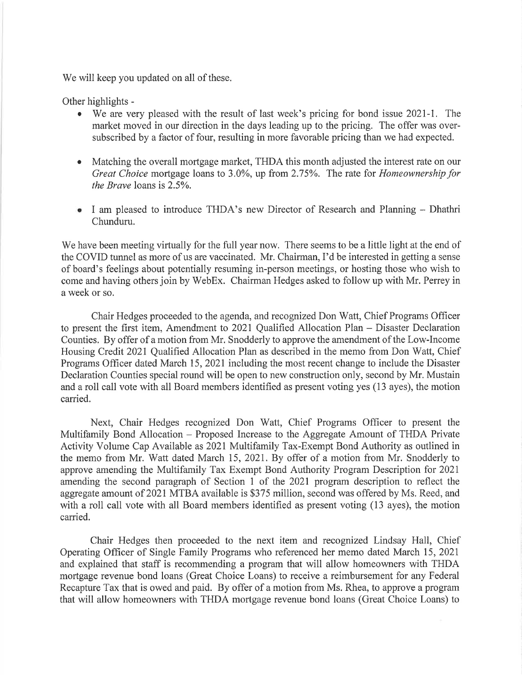We will keep you updated on all of these.

Other highlights -

- We are very pleased with the result of last week's pricing for bond issue 2021-1. The market moved in our direction in the days leading up to the pricing. The offer was oversubscribed by a factor of four, resulting in more favorable pricing than we had expected.
- Matching the overall mortgage market, THDA this month adjusted the interest rate on our Great Choice mortgage loans to 3.0%, up from 2.75%. The rate for Homeownership for the Brave loans is 2.5%.
- I am pleased to introduce THDA's new Director of Research and Planning Dhathri Chunduru.

We have been meeting virtually for the full year now. There seems to be a little light at the end of the COVID tunnel as more of us are vaccinated. Mr. Chairman, I'd be interested in getting a sense of board's feelings about potentially resuming in-person meetings, or hosting those who wish to come and having others join by WebEx. Chairman Hedges asked to follow up with Mr. Perrey in a week or so.

Chair Hedges proceeded to the agenda, and recognized Don Watt, Chief Programs Officer to present the first item, Amendment to 202I Qualified Allocation Plan - Disaster Declaration Counties. By offer of a motion from Mr. Snodderly to approve the amendment of the Low-Income Housing Credit 2021 Qualified Allocation Plan as described in the memo from Don Watt, Chief Programs Officer dated March 15, 2021 including the most recent change to include the Disaster Declaration Counties special round will be open to new construction only, second by Mr. Mustain and a roll call vote with all Board members identified as present voting yes (13 ayes), the motion carried.

Next, Chair Hedges recognized Don Watt, Chief Programs Officer to present the Multifamily Bond Allocation - Proposed Increase to the Aggregate Amount of THDA Private Activity Volume Cap Available as 2021 Multifamily Tax-Exempt Bond Authority as outlined in the memo from Mr. Watt dated March 15,2021. By offer of a motion from Mr. Snodderly to approve amending the Multifamily Tax Exempt Bond Authority Program Description for 2021 amending the second paragraph of Section 1 of the 2021 program description to reflect the aggregate amount of 2021 MTBA available is \$375 million, second was offered by Ms. Reed, and with a roll call vote with all Board members identified as present voting (13 ayes), the motion carried.

Chair Hedges then proceeded to the next item and recognized Lindsay Hall, Chief Operating Officer of Single Family Programs who referenced her memo dated March 15,202I and explained that staff is recommending a program that will allow homeowners with THDA mortgage revenue bond loans (Great Choice Loans) to receive a reimbursement for any Federal Recapture Tax that is owed and paid. By offer of a motion from Ms. Rhea, to approve a program that will allow homeowners with THDA mortgage revenue bond loans (Great Choice Loans) to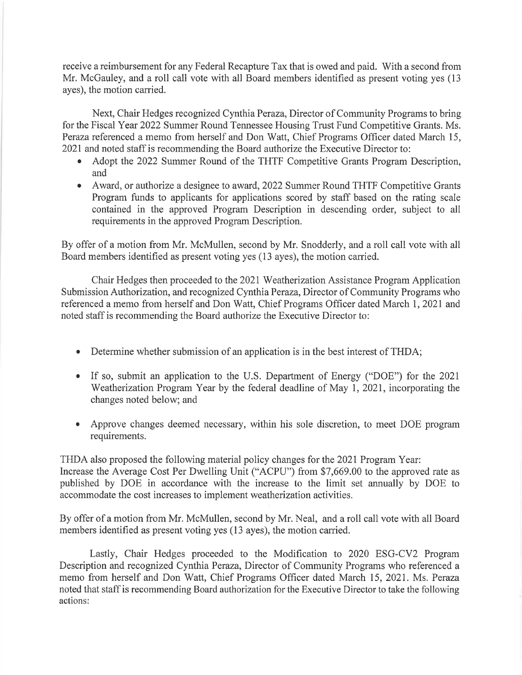receive a reimbursement for any Federal Recapture Tax that is owed and paid. With a second from Mr. McGauley, and a roll call vote with all Board members identified as present voting yes (13) ayes), the motion carried.

Next, Chair Hedges recognized Cynthia Peraza, Director of Community Programs to bring for the Fiscal Year 2022 Summer Round Tennessee Housing Trust Fund Competitive Grants. Ms. Peraza referenced a memo from herself and Don Watt, Chief Programs Officer dated March 15, 2021 and noted staff is recommending the Board authorize the Executive Director to:

- o Adopt the 2022 Summer Round of the THTF Competitive Grants Program Description, and
- Award, or authorize a designee to award, 2022 Summer Round THTF Competitive Grants Program funds to applicants for applications scored by staff based on the rating scale contained in the approved Program Description in descending order, subject to all requirements in the approved Program Description.

By offer of a motion from Mr. McMullen, second by Mr. Snodderly, and a roll call vote with all Board members identified as present voting yes (13 ayes), the motion carried.

Chair Hedges then proceeded to the202l Weatherization Assistance Program Application Submission Authorization, and recognized Cynthia Peraza, Director of Community Programs who referenced a memo from herself and Don Watt, Chief Programs Officer dated March 1,2021 and noted staff is recommending the Board authorize the Executive Director to:

- Determine whether submission of an application is in the best interest of THDA:
- If so, submit an application to the U.S. Department of Energy ("DOE") for the 2021 Weatherization Program Year by the federal deadline of May 1, 2021, incorporating the changes noted below; and
- Approve changes deemed necessary, within his sole discretion, to meet DOE program a requirements.

THDA also proposed the following material policy changes for the 2021 Program Year: Increase the Average Cost Per Dwelling Unit ("ACPU") from \$7,669.00 to the approved rate as published by DOE in accordance with the increase to the limit set annually by DOE to accommodate the cost increases to implement weatherization activities.

By offer of a motion from Mr. McMullen, second by Mr. Neal, and a roll call vote with all Board members identified as present voting yes (13 ayes), the motion carried.

Lastly, Chair Hedges proceeded to the Modification to 2020 ESG-CV2 Program Description and recognized Cynthia Peraza, Director of Community Programs who referenced a memo from herself and Don Watt, Chief Programs Officer dated March 15,2021. Ms. Peraza noted that staff is recommending Board authorization for the Executive Director to take the following actions: